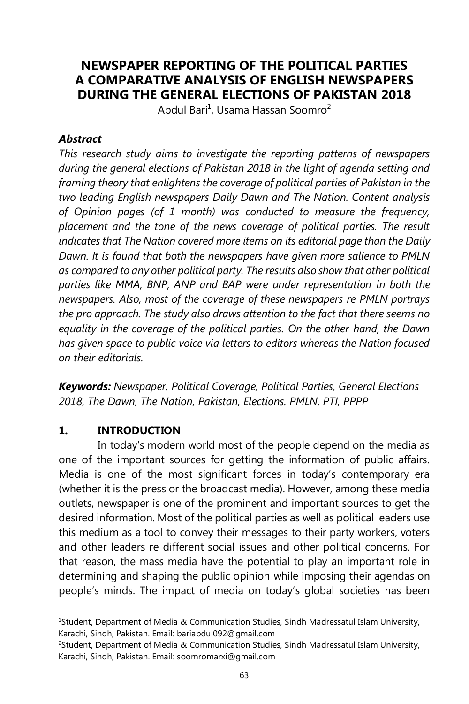# **NEWSPAPER REPORTING OF THE POLITICAL PARTIES A COMPARATIVE ANALYSIS OF ENGLISH NEWSPAPERS DURING THE GENERAL ELECTIONS OF PAKISTAN 2018**

Abdul Bari<sup>1</sup>, Usama Hassan Soomro<sup>2</sup>

### *Abstract*

*This research study aims to investigate the reporting patterns of newspapers during the general elections of Pakistan 2018 in the light of agenda setting and framing theory that enlightens the coverage of political parties of Pakistan in the two leading English newspapers Daily Dawn and The Nation. Content analysis of Opinion pages (of 1 month) was conducted to measure the frequency,*  placement and the tone of the news coverage of political parties. The result *indicates that The Nation covered more items on its editorial page than the Daily Dawn. It is found that both the newspapers have given more salience to PMLN as compared to any other political party. The results also show that other political parties like MMA, BNP, ANP and BAP were under representation in both the newspapers. Also, most of the coverage of these newspapers re PMLN portrays the pro approach. The study also draws attention to the fact that there seems no equality in the coverage of the political parties. On the other hand, the Dawn has given space to public voice via letters to editors whereas the Nation focused on their editorials.* 

*Keywords: Newspaper, Political Coverage, Political Parties, General Elections 2018, The Dawn, The Nation, Pakistan, Elections. PMLN, PTI, PPPP* 

## **1. INTRODUCTION**

In today's modern world most of the people depend on the media as one of the important sources for getting the information of public affairs. Media is one of the most significant forces in today's contemporary era (whether it is the press or the broadcast media). However, among these media outlets, newspaper is one of the prominent and important sources to get the desired information. Most of the political parties as well as political leaders use this medium as a tool to convey their messages to their party workers, voters and other leaders re different social issues and other political concerns. For that reason, the mass media have the potential to play an important role in determining and shaping the public opinion while imposing their agendas on people's minds. The impact of media on today's global societies has been

<sup>1</sup>Student, Department of Media & Communication Studies, Sindh Madressatul Islam University, Karachi, Sindh, Pakistan. Email: bariabdul092@gmail.com

<sup>2</sup>Student, Department of Media & Communication Studies, Sindh Madressatul Islam University, Karachi, Sindh, Pakistan. Email: soomromarxi@gmail.com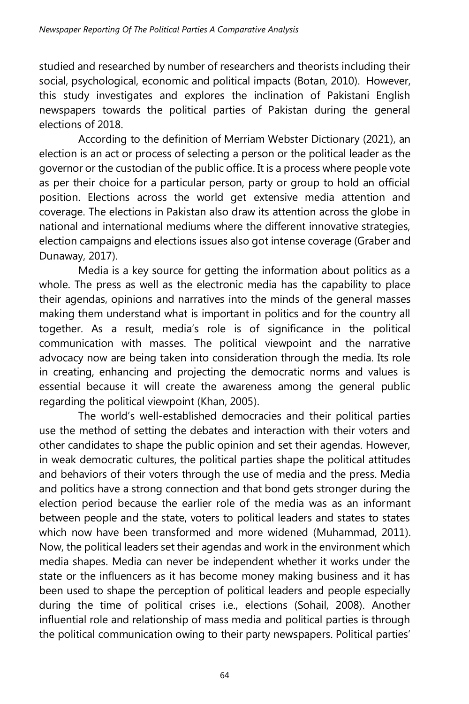studied and researched by number of researchers and theorists including their social, psychological, economic and political impacts (Botan, 2010). However, this study investigates and explores the inclination of Pakistani English newspapers towards the political parties of Pakistan during the general elections of 2018.

According to the definition of Merriam Webster Dictionary (2021), an election is an act or process of selecting a person or the political leader as the governor or the custodian of the public office. It is a process where people vote as per their choice for a particular person, party or group to hold an official position. Elections across the world get extensive media attention and coverage. The elections in Pakistan also draw its attention across the globe in national and international mediums where the different innovative strategies, election campaigns and elections issues also got intense coverage (Graber and Dunaway, 2017).

Media is a key source for getting the information about politics as a whole. The press as well as the electronic media has the capability to place their agendas, opinions and narratives into the minds of the general masses making them understand what is important in politics and for the country all together. As a result, media's role is of significance in the political communication with masses. The political viewpoint and the narrative advocacy now are being taken into consideration through the media. Its role in creating, enhancing and projecting the democratic norms and values is essential because it will create the awareness among the general public regarding the political viewpoint (Khan, 2005).

The world's well-established democracies and their political parties use the method of setting the debates and interaction with their voters and other candidates to shape the public opinion and set their agendas. However, in weak democratic cultures, the political parties shape the political attitudes and behaviors of their voters through the use of media and the press. Media and politics have a strong connection and that bond gets stronger during the election period because the earlier role of the media was as an informant between people and the state, voters to political leaders and states to states which now have been transformed and more widened (Muhammad, 2011). Now, the political leaders set their agendas and work in the environment which media shapes. Media can never be independent whether it works under the state or the influencers as it has become money making business and it has been used to shape the perception of political leaders and people especially during the time of political crises i.e., elections (Sohail, 2008). Another influential role and relationship of mass media and political parties is through the political communication owing to their party newspapers. Political parties'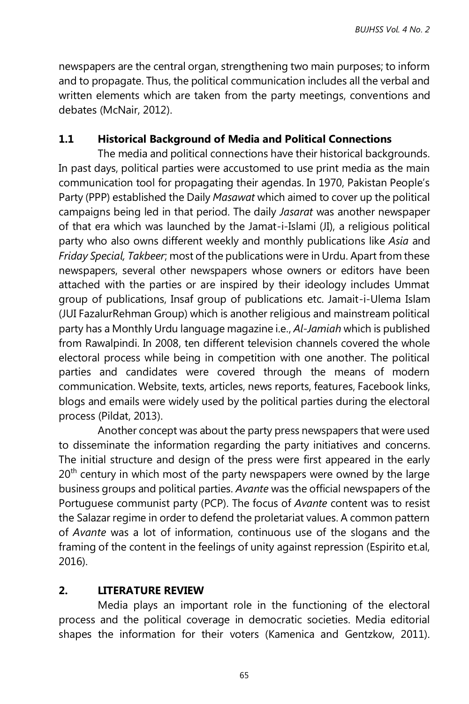newspapers are the central organ, strengthening two main purposes; to inform and to propagate. Thus, the political communication includes all the verbal and written elements which are taken from the party meetings, conventions and debates (McNair, 2012).

## **1.1 Historical Background of Media and Political Connections**

The media and political connections have their historical backgrounds. In past days, political parties were accustomed to use print media as the main communication tool for propagating their agendas. In 1970, Pakistan People's Party (PPP) established the Daily *Masawat* which aimed to cover up the political campaigns being led in that period. The daily *Jasarat* was another newspaper of that era which was launched by the Jamat-i-Islami (JI), a religious political party who also owns different weekly and monthly publications like *Asia* and *Friday Special, Takbeer*; most of the publications were in Urdu. Apart from these newspapers, several other newspapers whose owners or editors have been attached with the parties or are inspired by their ideology includes Ummat group of publications, Insaf group of publications etc. Jamait-i-Ulema Islam (JUI FazalurRehman Group) which is another religious and mainstream political party has a Monthly Urdu language magazine i.e., *Al-Jamiah* which is published from Rawalpindi. In 2008, ten different television channels covered the whole electoral process while being in competition with one another. The political parties and candidates were covered through the means of modern communication. Website, texts, articles, news reports, features, Facebook links, blogs and emails were widely used by the political parties during the electoral process (Pildat, 2013).

Another concept was about the party press newspapers that were used to disseminate the information regarding the party initiatives and concerns. The initial structure and design of the press were first appeared in the early  $20<sup>th</sup>$  century in which most of the party newspapers were owned by the large business groups and political parties. *Avante* was the official newspapers of the Portuguese communist party (PCP). The focus of *Avante* content was to resist the Salazar regime in order to defend the proletariat values. A common pattern of *Avante* was a lot of information, continuous use of the slogans and the framing of the content in the feelings of unity against repression (Espirito et.al, 2016).

## **2. LITERATURE REVIEW**

Media plays an important role in the functioning of the electoral process and the political coverage in democratic societies. Media editorial shapes the information for their voters (Kamenica and Gentzkow, 2011).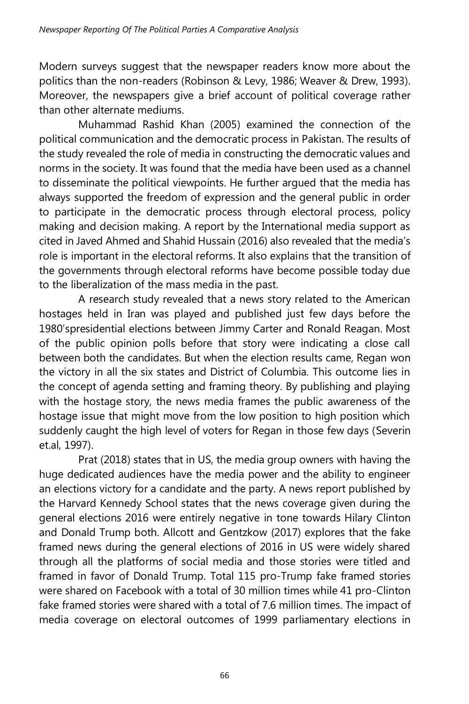Modern surveys suggest that the newspaper readers know more about the politics than the non-readers (Robinson & Levy, 1986; Weaver & Drew, 1993). Moreover, the newspapers give a brief account of political coverage rather than other alternate mediums.

Muhammad Rashid Khan (2005) examined the connection of the political communication and the democratic process in Pakistan. The results of the study revealed the role of media in constructing the democratic values and norms in the society. It was found that the media have been used as a channel to disseminate the political viewpoints. He further argued that the media has always supported the freedom of expression and the general public in order to participate in the democratic process through electoral process, policy making and decision making. A report by the International media support as cited in Javed Ahmed and Shahid Hussain (2016) also revealed that the media's role is important in the electoral reforms. It also explains that the transition of the governments through electoral reforms have become possible today due to the liberalization of the mass media in the past.

A research study revealed that a news story related to the American hostages held in Iran was played and published just few days before the 1980'spresidential elections between Jimmy Carter and Ronald Reagan. Most of the public opinion polls before that story were indicating a close call between both the candidates. But when the election results came, Regan won the victory in all the six states and District of Columbia. This outcome lies in the concept of agenda setting and framing theory. By publishing and playing with the hostage story, the news media frames the public awareness of the hostage issue that might move from the low position to high position which suddenly caught the high level of voters for Regan in those few days (Severin et.al, 1997).

Prat (2018) states that in US, the media group owners with having the huge dedicated audiences have the media power and the ability to engineer an elections victory for a candidate and the party. A news report published by the Harvard Kennedy School states that the news coverage given during the general elections 2016 were entirely negative in tone towards Hilary Clinton and Donald Trump both. Allcott and Gentzkow (2017) explores that the fake framed news during the general elections of 2016 in US were widely shared through all the platforms of social media and those stories were titled and framed in favor of Donald Trump. Total 115 pro-Trump fake framed stories were shared on Facebook with a total of 30 million times while 41 pro-Clinton fake framed stories were shared with a total of 7.6 million times. The impact of media coverage on electoral outcomes of 1999 parliamentary elections in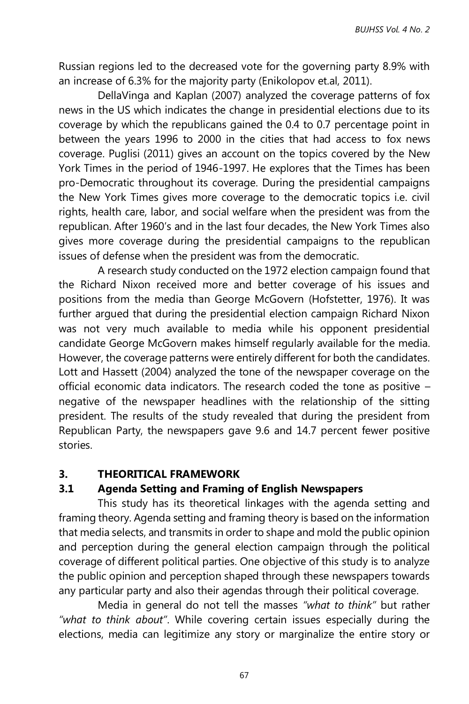Russian regions led to the decreased vote for the governing party 8.9% with an increase of 6.3% for the majority party (Enikolopov et.al, 2011).

DellaVinga and Kaplan (2007) analyzed the coverage patterns of fox news in the US which indicates the change in presidential elections due to its coverage by which the republicans gained the 0.4 to 0.7 percentage point in between the years 1996 to 2000 in the cities that had access to fox news coverage. Puglisi (2011) gives an account on the topics covered by the New York Times in the period of 1946-1997. He explores that the Times has been pro-Democratic throughout its coverage. During the presidential campaigns the New York Times gives more coverage to the democratic topics i.e. civil rights, health care, labor, and social welfare when the president was from the republican. After 1960's and in the last four decades, the New York Times also gives more coverage during the presidential campaigns to the republican issues of defense when the president was from the democratic.

A research study conducted on the 1972 election campaign found that the Richard Nixon received more and better coverage of his issues and positions from the media than George McGovern (Hofstetter, 1976). It was further argued that during the presidential election campaign Richard Nixon was not very much available to media while his opponent presidential candidate George McGovern makes himself regularly available for the media. However, the coverage patterns were entirely different for both the candidates. Lott and Hassett (2004) analyzed the tone of the newspaper coverage on the official economic data indicators. The research coded the tone as positive – negative of the newspaper headlines with the relationship of the sitting president. The results of the study revealed that during the president from Republican Party, the newspapers gave 9.6 and 14.7 percent fewer positive stories.

#### **3. THEORITICAL FRAMEWORK**

### **3.1 Agenda Setting and Framing of English Newspapers**

This study has its theoretical linkages with the agenda setting and framing theory. Agenda setting and framing theory is based on the information that media selects, and transmits in order to shape and mold the public opinion and perception during the general election campaign through the political coverage of different political parties. One objective of this study is to analyze the public opinion and perception shaped through these newspapers towards any particular party and also their agendas through their political coverage.

Media in general do not tell the masses *"what to think"* but rather *"what to think about"*. While covering certain issues especially during the elections, media can legitimize any story or marginalize the entire story or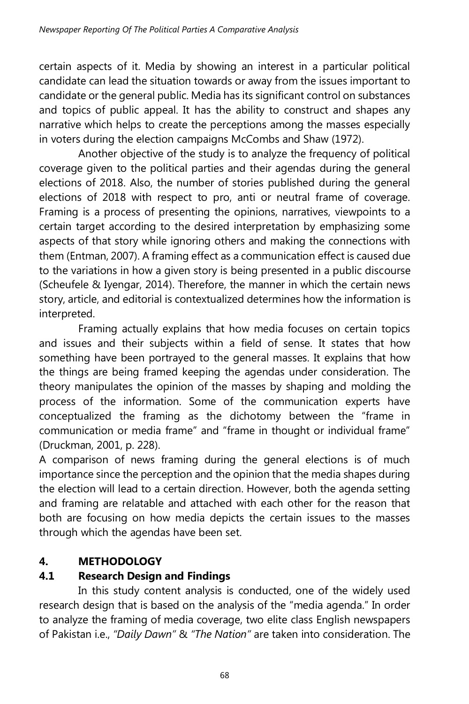certain aspects of it. Media by showing an interest in a particular political candidate can lead the situation towards or away from the issues important to candidate or the general public. Media has its significant control on substances and topics of public appeal. It has the ability to construct and shapes any narrative which helps to create the perceptions among the masses especially in voters during the election campaigns McCombs and Shaw (1972).

Another objective of the study is to analyze the frequency of political coverage given to the political parties and their agendas during the general elections of 2018. Also, the number of stories published during the general elections of 2018 with respect to pro, anti or neutral frame of coverage. Framing is a process of presenting the opinions, narratives, viewpoints to a certain target according to the desired interpretation by emphasizing some aspects of that story while ignoring others and making the connections with them (Entman, 2007). A framing effect as a communication effect is caused due to the variations in how a given story is being presented in a public discourse (Scheufele & Iyengar, 2014). Therefore, the manner in which the certain news story, article, and editorial is contextualized determines how the information is interpreted.

Framing actually explains that how media focuses on certain topics and issues and their subjects within a field of sense. It states that how something have been portrayed to the general masses. It explains that how the things are being framed keeping the agendas under consideration. The theory manipulates the opinion of the masses by shaping and molding the process of the information. Some of the communication experts have conceptualized the framing as the dichotomy between the "frame in communication or media frame" and "frame in thought or individual frame" (Druckman, 2001, p. 228).

A comparison of news framing during the general elections is of much importance since the perception and the opinion that the media shapes during the election will lead to a certain direction. However, both the agenda setting and framing are relatable and attached with each other for the reason that both are focusing on how media depicts the certain issues to the masses through which the agendas have been set.

# **4. METHODOLOGY**

# **4.1 Research Design and Findings**

In this study content analysis is conducted, one of the widely used research design that is based on the analysis of the "media agenda." In order to analyze the framing of media coverage, two elite class English newspapers of Pakistan i.e., *"Daily Dawn"* & *"The Nation"* are taken into consideration. The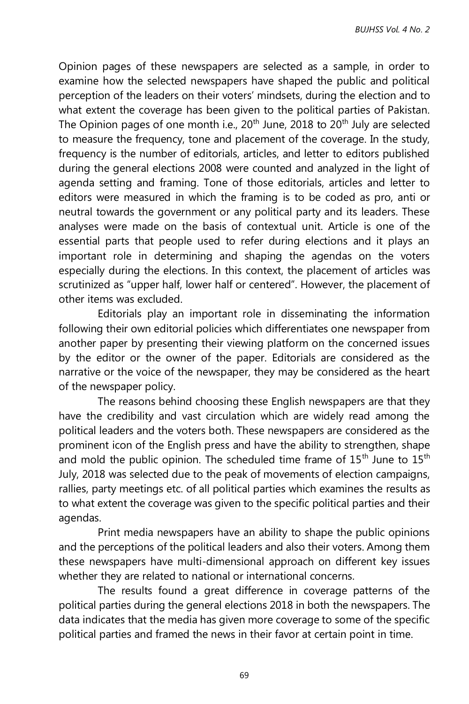Opinion pages of these newspapers are selected as a sample, in order to examine how the selected newspapers have shaped the public and political perception of the leaders on their voters' mindsets, during the election and to what extent the coverage has been given to the political parties of Pakistan. The Opinion pages of one month i.e., 20<sup>th</sup> June, 2018 to 20<sup>th</sup> July are selected to measure the frequency, tone and placement of the coverage. In the study, frequency is the number of editorials, articles, and letter to editors published during the general elections 2008 were counted and analyzed in the light of agenda setting and framing. Tone of those editorials, articles and letter to editors were measured in which the framing is to be coded as pro, anti or neutral towards the government or any political party and its leaders. These analyses were made on the basis of contextual unit. Article is one of the essential parts that people used to refer during elections and it plays an important role in determining and shaping the agendas on the voters especially during the elections. In this context, the placement of articles was scrutinized as "upper half, lower half or centered". However, the placement of other items was excluded.

Editorials play an important role in disseminating the information following their own editorial policies which differentiates one newspaper from another paper by presenting their viewing platform on the concerned issues by the editor or the owner of the paper. Editorials are considered as the narrative or the voice of the newspaper, they may be considered as the heart of the newspaper policy.

The reasons behind choosing these English newspapers are that they have the credibility and vast circulation which are widely read among the political leaders and the voters both. These newspapers are considered as the prominent icon of the English press and have the ability to strengthen, shape and mold the public opinion. The scheduled time frame of  $15^{th}$  June to  $15^{th}$ July, 2018 was selected due to the peak of movements of election campaigns, rallies, party meetings etc. of all political parties which examines the results as to what extent the coverage was given to the specific political parties and their agendas.

Print media newspapers have an ability to shape the public opinions and the perceptions of the political leaders and also their voters. Among them these newspapers have multi-dimensional approach on different key issues whether they are related to national or international concerns.

The results found a great difference in coverage patterns of the political parties during the general elections 2018 in both the newspapers. The data indicates that the media has given more coverage to some of the specific political parties and framed the news in their favor at certain point in time.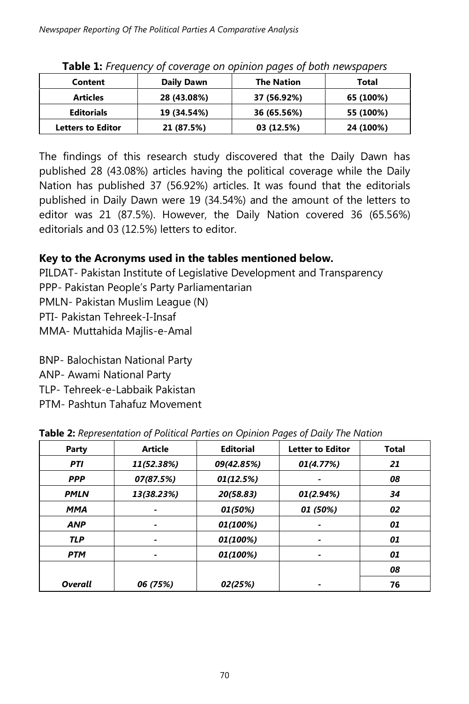| Content                  | Daily Dawn  | <b>The Nation</b> | Total     |
|--------------------------|-------------|-------------------|-----------|
| <b>Articles</b>          | 28 (43.08%) | 37 (56.92%)       | 65 (100%) |
| <b>Editorials</b>        | 19 (34.54%) | 36 (65.56%)       | 55 (100%) |
| <b>Letters to Editor</b> | 21 (87.5%)  | 03 (12.5%)        | 24 (100%) |

**Table 1:** *Frequency of coverage on opinion pages of both newspapers*

The findings of this research study discovered that the Daily Dawn has published 28 (43.08%) articles having the political coverage while the Daily Nation has published 37 (56.92%) articles. It was found that the editorials published in Daily Dawn were 19 (34.54%) and the amount of the letters to editor was 21 (87.5%). However, the Daily Nation covered 36 (65.56%) editorials and 03 (12.5%) letters to editor.

# **Key to the Acronyms used in the tables mentioned below.**

PILDAT- Pakistan Institute of Legislative Development and Transparency PPP- Pakistan People's Party Parliamentarian PMLN- Pakistan Muslim League (N) PTI- Pakistan Tehreek-I-Insaf MMA- Muttahida Majlis-e-Amal

BNP- Balochistan National Party

ANP- Awami National Party

TLP- Tehreek-e-Labbaik Pakistan

PTM- Pashtun Tahafuz Movement

| Party          | <b>Article</b>           | <b>Editorial</b> | <b>Letter to Editor</b>  | <b>Total</b> |
|----------------|--------------------------|------------------|--------------------------|--------------|
| <b>PTI</b>     | 11(52.38%)               | 09(42.85%)       | 01(4.77%)                | 21           |
| <b>PPP</b>     | 07(87.5%)                | 01(12.5%)        |                          | 08           |
| <b>PMLN</b>    | 13(38.23%)               | 20(58.83)        | 01(2.94%)                | 34           |
| <b>MMA</b>     |                          | 01 (50%)         | 01 (50%)                 | 02           |
| <b>ANP</b>     |                          | 01(100%)         |                          | 01           |
| <b>TLP</b>     |                          | 01(100%)         | -                        | 01           |
| <b>PTM</b>     | $\overline{\phantom{a}}$ | 01(100%)         | $\overline{\phantom{a}}$ | 01           |
|                |                          |                  |                          | 08           |
| <b>Overall</b> | 06 (75%)                 | 02(25%)          |                          | 76           |

**Table 2:** *Representation of Political Parties on Opinion Pages of Daily The Nation*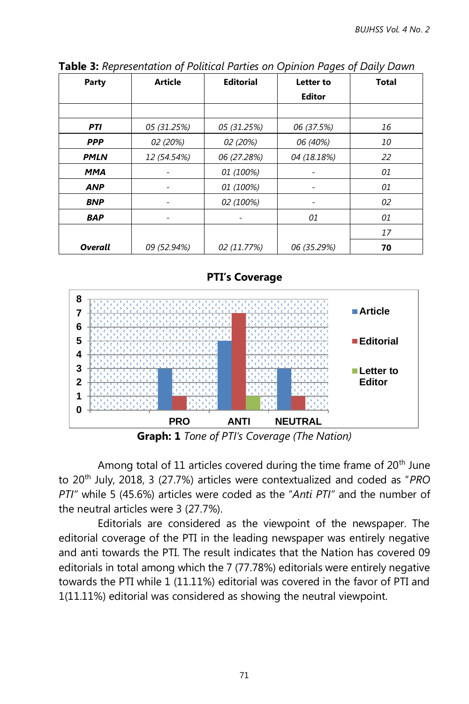| Party          | <b>Article</b> | <b>Editorial</b> | Letter to     | <b>Total</b> |
|----------------|----------------|------------------|---------------|--------------|
|                |                |                  | <b>Editor</b> |              |
|                |                |                  |               |              |
| <b>PTI</b>     | 05 (31.25%)    | 05 (31.25%)      | 06 (37.5%)    | 16           |
| <b>PPP</b>     | 02 (20%)       | 02 (20%)         | 06 (40%)      | 10           |
| <b>PMLN</b>    | 12 (54.54%)    | 06 (27.28%)      | 04 (18.18%)   | 22           |
| <b>MMA</b>     |                | 01 (100%)        |               | 01           |
| <b>ANP</b>     | ۰              | 01 (100%)        | -             | 01           |
| <b>BNP</b>     | -              | 02 (100%)        | -             | 02           |
| <b>BAP</b>     | ۰              |                  | 01            | 01           |
|                |                |                  |               | 17           |
| <b>Overall</b> | 09 (52.94%)    | 02 (11.77%)      | 06 (35.29%)   | 70           |

**Table 3:** *Representation of Political Parties on Opinion Pages of Daily Dawn*





**Graph: 1** *Tone of PTI's Coverage (The Nation)*

Among total of 11 articles covered during the time frame of  $20<sup>th</sup>$  June to 20th July, 2018, 3 (27.7%) articles were contextualized and coded as "*PRO PTI"* while 5 (45.6%) articles were coded as the "*Anti PTI"* and the number of the neutral articles were 3 (27.7%).

Editorials are considered as the viewpoint of the newspaper. The editorial coverage of the PTI in the leading newspaper was entirely negative and anti towards the PTI. The result indicates that the Nation has covered 09 editorials in total among which the 7 (77.78%) editorials were entirely negative towards the PTI while 1 (11.11%) editorial was covered in the favor of PTI and 1(11.11%) editorial was considered as showing the neutral viewpoint.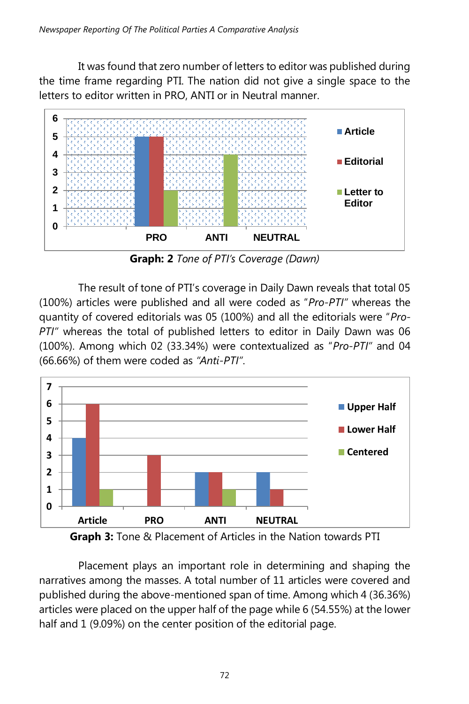It was found that zero number of letters to editor was published during the time frame regarding PTI. The nation did not give a single space to the letters to editor written in PRO, ANTI or in Neutral manner.



**Graph: 2** *Tone of PTI's Coverage (Dawn)*

The result of tone of PTI's coverage in Daily Dawn reveals that total 05 (100%) articles were published and all were coded as "*Pro-PTI"* whereas the quantity of covered editorials was 05 (100%) and all the editorials were "*Pro-PTI"* whereas the total of published letters to editor in Daily Dawn was 06 (100%). Among which 02 (33.34%) were contextualized as "*Pro-PTI"* and 04 (66.66%) of them were coded as *"Anti-PTI"*.



**Graph 3:** Tone & Placement of Articles in the Nation towards PTI

Placement plays an important role in determining and shaping the narratives among the masses. A total number of 11 articles were covered and published during the above-mentioned span of time. Among which 4 (36.36%) articles were placed on the upper half of the page while 6 (54.55%) at the lower half and 1 (9.09%) on the center position of the editorial page.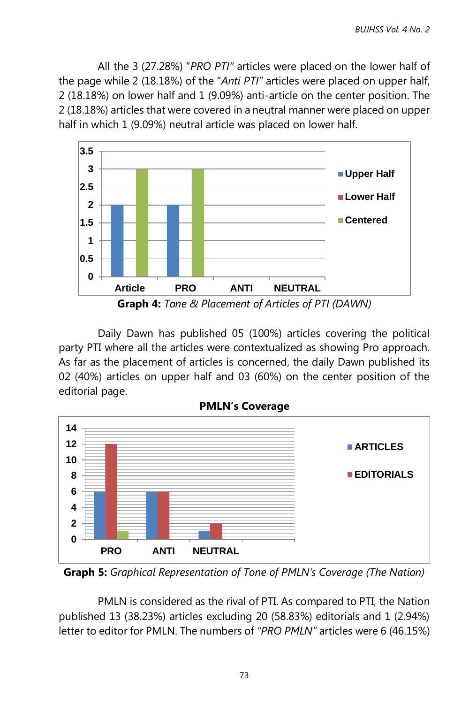All the 3 (27.28%) "*PRO PTI"* articles were placed on the lower half of the page while 2 (18.18%) of the "*Anti PTI"* articles were placed on upper half, 2 (18.18%) on lower half and 1 (9.09%) anti-article on the center position. The 2 (18.18%) articles that were covered in a neutral manner were placed on upper half in which 1 (9.09%) neutral article was placed on lower half.



**Graph 4:** *Tone & Placement of Articles of PTI (DAWN)*

Daily Dawn has published 05 (100%) articles covering the political party PTI where all the articles were contextualized as showing Pro approach. As far as the placement of articles is concerned, the daily Dawn published its 02 (40%) articles on upper half and 03 (60%) on the center position of the editorial page.



**Graph 5:** *Graphical Representation of Tone of PMLN's Coverage (The Nation)*

PMLN is considered as the rival of PTI. As compared to PTI, the Nation published 13 (38.23%) articles excluding 20 (58.83%) editorials and 1 (2.94%) letter to editor for PMLN. The numbers of *"PRO PMLN"* articles were 6 (46.15%)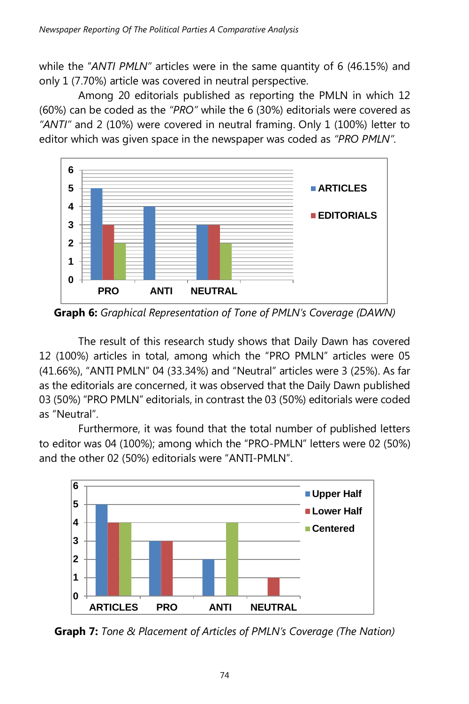while the "*ANTI PMLN"* articles were in the same quantity of 6 (46.15%) and only 1 (7.70%) article was covered in neutral perspective.

Among 20 editorials published as reporting the PMLN in which 12 (60%) can be coded as the *"PRO"* while the 6 (30%) editorials were covered as *"ANTI"* and 2 (10%) were covered in neutral framing. Only 1 (100%) letter to editor which was given space in the newspaper was coded as *"PRO PMLN".*



**Graph 6:** *Graphical Representation of Tone of PMLN's Coverage (DAWN)*

The result of this research study shows that Daily Dawn has covered 12 (100%) articles in total, among which the "PRO PMLN" articles were 05 (41.66%), "ANTI PMLN" 04 (33.34%) and "Neutral" articles were 3 (25%). As far as the editorials are concerned, it was observed that the Daily Dawn published 03 (50%) "PRO PMLN" editorials, in contrast the 03 (50%) editorials were coded as "Neutral".

Furthermore, it was found that the total number of published letters to editor was 04 (100%); among which the "PRO-PMLN" letters were 02 (50%) and the other 02 (50%) editorials were "ANTI-PMLN".



**Graph 7:** *Tone & Placement of Articles of PMLN's Coverage (The Nation)*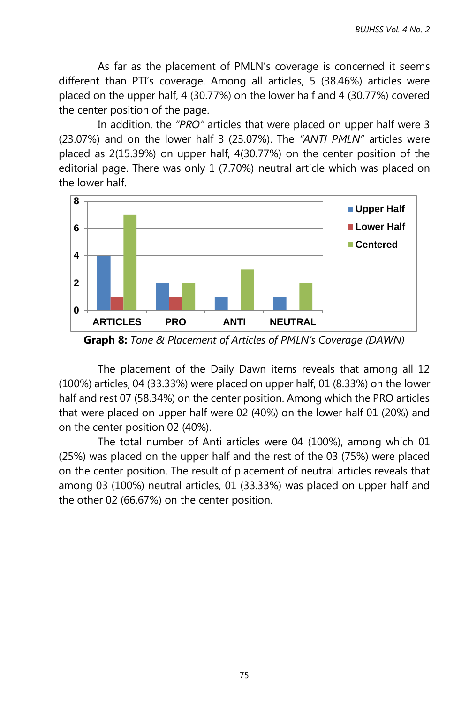As far as the placement of PMLN's coverage is concerned it seems different than PTI's coverage. Among all articles, 5 (38.46%) articles were placed on the upper half, 4 (30.77%) on the lower half and 4 (30.77%) covered the center position of the page.

In addition, the *"PRO"* articles that were placed on upper half were 3 (23.07%) and on the lower half 3 (23.07%). The *"ANTI PMLN"* articles were placed as 2(15.39%) on upper half, 4(30.77%) on the center position of the editorial page. There was only 1 (7.70%) neutral article which was placed on the lower half.



**Graph 8:** *Tone & Placement of Articles of PMLN's Coverage (DAWN)*

The placement of the Daily Dawn items reveals that among all 12 (100%) articles, 04 (33.33%) were placed on upper half, 01 (8.33%) on the lower half and rest 07 (58.34%) on the center position. Among which the PRO articles that were placed on upper half were 02 (40%) on the lower half 01 (20%) and on the center position 02 (40%).

The total number of Anti articles were 04 (100%), among which 01 (25%) was placed on the upper half and the rest of the 03 (75%) were placed on the center position. The result of placement of neutral articles reveals that among 03 (100%) neutral articles, 01 (33.33%) was placed on upper half and the other 02 (66.67%) on the center position.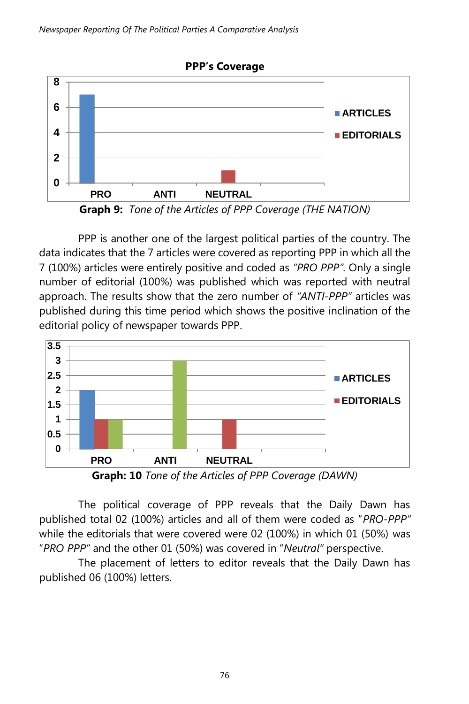

PPP is another one of the largest political parties of the country. The data indicates that the 7 articles were covered as reporting PPP in which all the 7 (100%) articles were entirely positive and coded as *"PRO PPP".* Only a single number of editorial (100%) was published which was reported with neutral approach. The results show that the zero number of *"ANTI-PPP"* articles was published during this time period which shows the positive inclination of the editorial policy of newspaper towards PPP.



**Graph: 10** *Tone of the Articles of PPP Coverage (DAWN)*

The political coverage of PPP reveals that the Daily Dawn has published total 02 (100%) articles and all of them were coded as "*PRO-PPP"*  while the editorials that were covered were 02 (100%) in which 01 (50%) was "*PRO PPP"* and the other 01 (50%) was covered in "*Neutral"* perspective.

The placement of letters to editor reveals that the Daily Dawn has published 06 (100%) letters.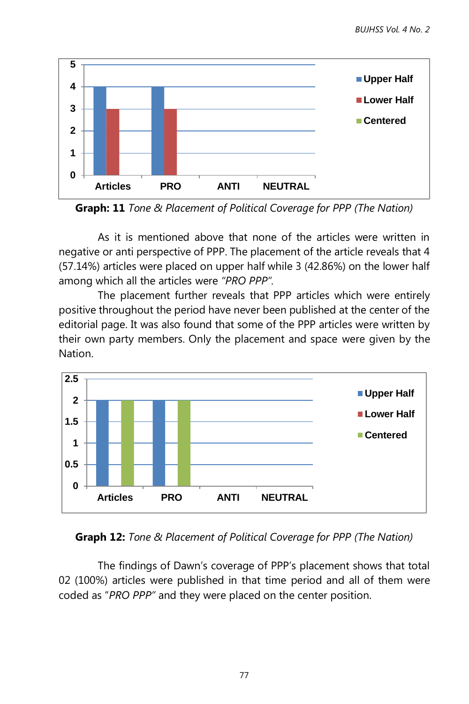

**Graph: 11** *Tone & Placement of Political Coverage for PPP (The Nation)*

As it is mentioned above that none of the articles were written in negative or anti perspective of PPP. The placement of the article reveals that 4 (57.14%) articles were placed on upper half while 3 (42.86%) on the lower half among which all the articles were *"PRO PPP".*

The placement further reveals that PPP articles which were entirely positive throughout the period have never been published at the center of the editorial page. It was also found that some of the PPP articles were written by their own party members. Only the placement and space were given by the Nation.



**Graph 12:** *Tone & Placement of Political Coverage for PPP (The Nation)*

The findings of Dawn's coverage of PPP's placement shows that total 02 (100%) articles were published in that time period and all of them were coded as "*PRO PPP"* and they were placed on the center position.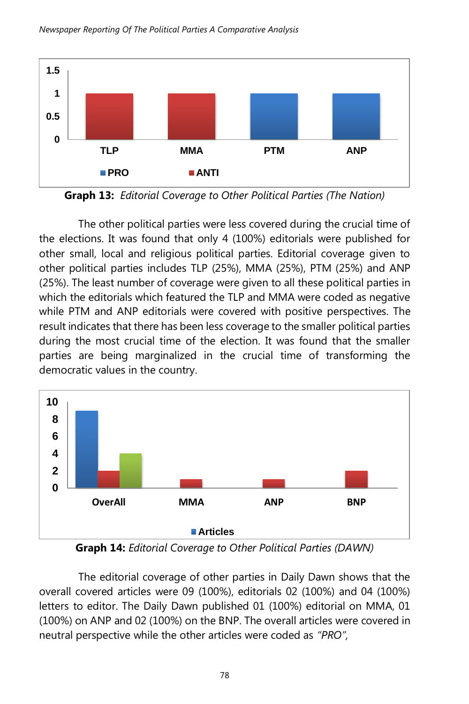



**Graph 13:** *Editorial Coverage to Other Political Parties (The Nation)*

The other political parties were less covered during the crucial time of the elections. It was found that only 4 (100%) editorials were published for other small, local and religious political parties. Editorial coverage given to other political parties includes TLP (25%), MMA (25%), PTM (25%) and ANP (25%). The least number of coverage were given to all these political parties in which the editorials which featured the TLP and MMA were coded as negative while PTM and ANP editorials were covered with positive perspectives. The result indicates that there has been less coverage to the smaller political parties during the most crucial time of the election. It was found that the smaller parties are being marginalized in the crucial time of transforming the democratic values in the country.



**Graph 14:** *Editorial Coverage to Other Political Parties (DAWN)*

The editorial coverage of other parties in Daily Dawn shows that the overall covered articles were 09 (100%), editorials 02 (100%) and 04 (100%) letters to editor. The Daily Dawn published 01 (100%) editorial on MMA, 01 (100%) on ANP and 02 (100%) on the BNP. The overall articles were covered in neutral perspective while the other articles were coded as *"PRO",*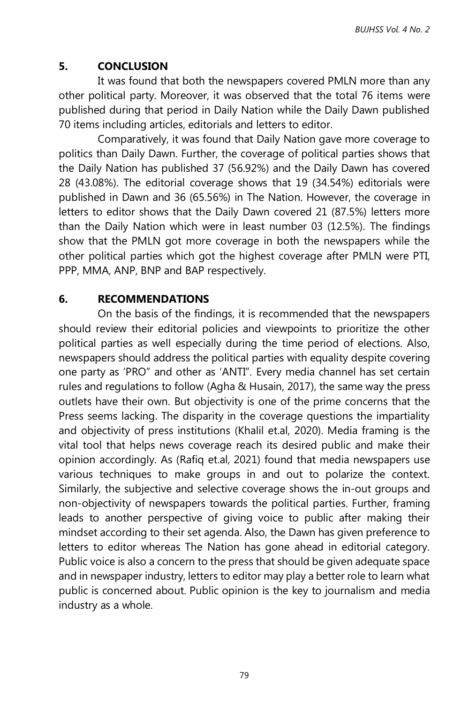# **5. CONCLUSION**

It was found that both the newspapers covered PMLN more than any other political party. Moreover, it was observed that the total 76 items were published during that period in Daily Nation while the Daily Dawn published 70 items including articles, editorials and letters to editor.

Comparatively, it was found that Daily Nation gave more coverage to politics than Daily Dawn. Further, the coverage of political parties shows that the Daily Nation has published 37 (56.92%) and the Daily Dawn has covered 28 (43.08%). The editorial coverage shows that 19 (34.54%) editorials were published in Dawn and 36 (65.56%) in The Nation. However, the coverage in letters to editor shows that the Daily Dawn covered 21 (87.5%) letters more than the Daily Nation which were in least number 03 (12.5%). The findings show that the PMLN got more coverage in both the newspapers while the other political parties which got the highest coverage after PMLN were PTI, PPP, MMA, ANP, BNP and BAP respectively.

## **6. RECOMMENDATIONS**

On the basis of the findings, it is recommended that the newspapers should review their editorial policies and viewpoints to prioritize the other political parties as well especially during the time period of elections. Also, newspapers should address the political parties with equality despite covering one party as 'PRO" and other as 'ANTI". Every media channel has set certain rules and regulations to follow (Agha & Husain, 2017), the same way the press outlets have their own. But objectivity is one of the prime concerns that the Press seems lacking. The disparity in the coverage questions the impartiality and objectivity of press institutions (Khalil et.al, 2020). Media framing is the vital tool that helps news coverage reach its desired public and make their opinion accordingly. As (Rafiq et.al, 2021) found that media newspapers use various techniques to make groups in and out to polarize the context. Similarly, the subjective and selective coverage shows the in-out groups and non-objectivity of newspapers towards the political parties. Further, framing leads to another perspective of giving voice to public after making their mindset according to their set agenda. Also, the Dawn has given preference to letters to editor whereas The Nation has gone ahead in editorial category. Public voice is also a concern to the press that should be given adequate space and in newspaper industry, letters to editor may play a better role to learn what public is concerned about. Public opinion is the key to journalism and media industry as a whole.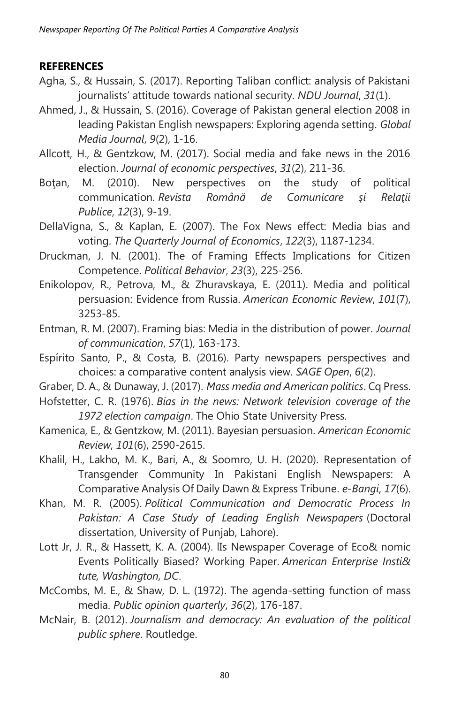### **REFERENCES**

- Agha, S., & Hussain, S. (2017). Reporting Taliban conflict: analysis of Pakistani journalists' attitude towards national security. *NDU Journal*, *31*(1).
- Ahmed, J., & Hussain, S. (2016). Coverage of Pakistan general election 2008 in leading Pakistan English newspapers: Exploring agenda setting. *Global Media Journal*, *9*(2), 1-16.
- Allcott, H., & Gentzkow, M. (2017). Social media and fake news in the 2016 election. *Journal of economic perspectives*, *31*(2), 211-36.
- Botan, M. (2010). New perspectives on the study of political communication. *Revista Română de Comunicare şi Relaţii Publice*, *12*(3), 9-19.
- DellaVigna, S., & Kaplan, E. (2007). The Fox News effect: Media bias and voting. *The Quarterly Journal of Economics*, *122*(3), 1187-1234.
- Druckman, J. N. (2001). The of Framing Effects Implications for Citizen Competence. *Political Behavior*, *23*(3), 225-256.
- Enikolopov, R., Petrova, M., & Zhuravskaya, E. (2011). Media and political persuasion: Evidence from Russia. *American Economic Review*, *101*(7), 3253-85.
- Entman, R. M. (2007). Framing bias: Media in the distribution of power. *Journal of communication*, *57*(1), 163-173.
- Espírito Santo, P., & Costa, B. (2016). Party newspapers perspectives and choices: a comparative content analysis view. *SAGE Open*, *6*(2).
- Graber, D. A., & Dunaway, J. (2017). *Mass media and American politics*. Cq Press.
- Hofstetter, C. R. (1976). *Bias in the news: Network television coverage of the 1972 election campaign*. The Ohio State University Press.
- Kamenica, E., & Gentzkow, M. (2011). Bayesian persuasion. *American Economic Review*, *101*(6), 2590-2615.
- Khalil, H., Lakho, M. K., Bari, A., & Soomro, U. H. (2020). Representation of Transgender Community In Pakistani English Newspapers: A Comparative Analysis Of Daily Dawn & Express Tribune. *e-Bangi*, *17*(6).
- Khan, M. R. (2005). *Political Communication and Democratic Process In Pakistan: A Case Study of Leading English Newspapers* (Doctoral dissertation, University of Punjab, Lahore).
- Lott Jr, J. R., & Hassett, K. A. (2004). lIs Newspaper Coverage of Eco& nomic Events Politically Biased? Working Paper. *American Enterprise Insti& tute, Washington, DC*.
- McCombs, M. E., & Shaw, D. L. (1972). The agenda-setting function of mass media. *Public opinion quarterly*, *36*(2), 176-187.
- McNair, B. (2012). *Journalism and democracy: An evaluation of the political public sphere*. Routledge.